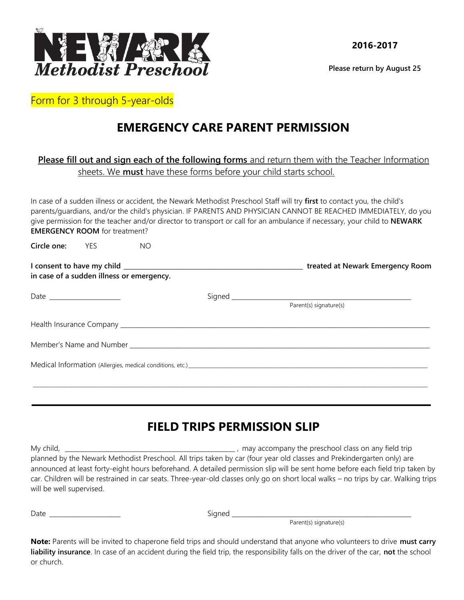

**Please return by August 25**

Form for 3 through 5-year-olds

## **EMERGENCY CARE PARENT PERMISSION**

## **Please fill out and sign each of the following forms** and return them with the Teacher Information sheets. We **must** have these forms before your child starts school.

In case of a sudden illness or accident, the Newark Methodist Preschool Staff will try **first** to contact you, the child's parents/guardians, and/or the child's physician. IF PARENTS AND PHYSICIAN CANNOT BE REACHED IMMEDIATELY, do you give permission for the teacher and/or director to transport or call for an ambulance if necessary, your child to **NEWARK EMERGENCY ROOM** for treatment?

**Circle one:** YES NO

| in case of a sudden illness or emergency. | treated at Newark Emergency Room |
|-------------------------------------------|----------------------------------|
|                                           | Parent(s) signature(s)           |
|                                           |                                  |
|                                           |                                  |
|                                           |                                  |
|                                           |                                  |

## **FIELD TRIPS PERMISSION SLIP**

| My child,                | may accompany the preschool class on any field trip                                                                                 |
|--------------------------|-------------------------------------------------------------------------------------------------------------------------------------|
|                          | planned by the Newark Methodist Preschool. All trips taken by car (four year old classes and Prekindergarten only) are              |
|                          | announced at least forty-eight hours beforehand. A detailed permission slip will be sent home before each field trip taken by       |
|                          | car. Children will be restrained in car seats. Three-year-old classes only go on short local walks – no trips by car. Walking trips |
| will be well supervised. |                                                                                                                                     |

Date \_\_\_\_\_\_\_\_\_\_\_\_\_\_\_\_\_\_\_\_\_\_\_ Signed \_\_\_\_\_\_\_\_\_\_\_\_\_\_\_\_\_\_\_\_\_\_\_\_\_\_\_\_\_\_\_\_\_\_\_\_\_\_\_\_\_\_\_\_\_\_\_\_\_\_\_\_\_\_\_\_\_\_

.

Parent(s) signature(s)

**Note:** Parents will be invited to chaperone field trips and should understand that anyone who volunteers to drive **must carry liability insurance**. In case of an accident during the field trip, the responsibility falls on the driver of the car, **not** the school or church.